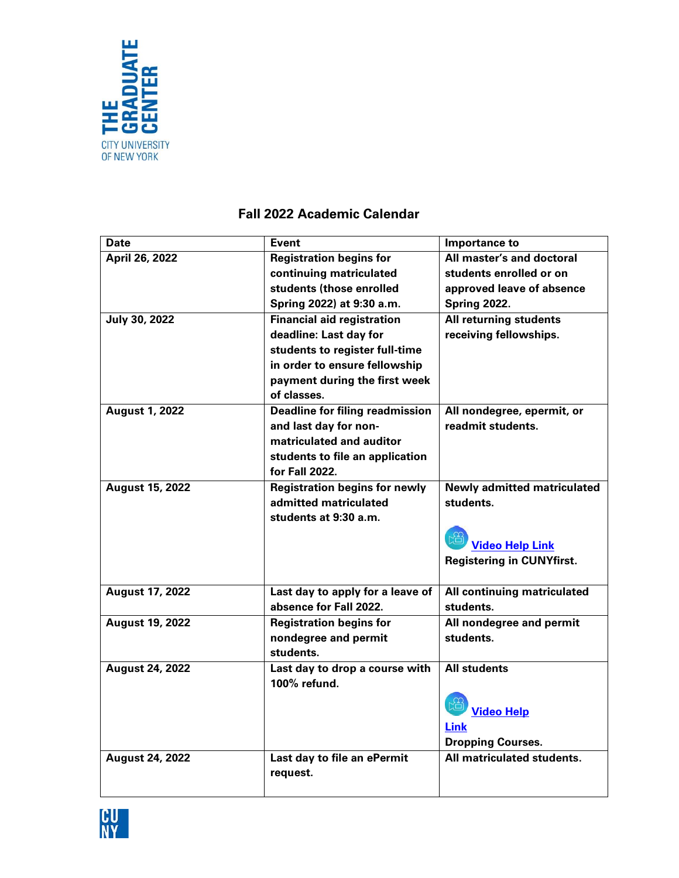

## **Fall 2022 Academic Calendar**

| Date                   | <b>Event</b>                           | Importance to                      |
|------------------------|----------------------------------------|------------------------------------|
| April 26, 2022         | <b>Registration begins for</b>         | All master's and doctoral          |
|                        | continuing matriculated                | students enrolled or on            |
|                        | students (those enrolled               | approved leave of absence          |
|                        | Spring 2022) at 9:30 a.m.              | <b>Spring 2022.</b>                |
| July 30, 2022          | <b>Financial aid registration</b>      | All returning students             |
|                        | deadline: Last day for                 | receiving fellowships.             |
|                        | students to register full-time         |                                    |
|                        | in order to ensure fellowship          |                                    |
|                        | payment during the first week          |                                    |
|                        | of classes.                            |                                    |
| <b>August 1, 2022</b>  | <b>Deadline for filing readmission</b> | All nondegree, epermit, or         |
|                        | and last day for non-                  | readmit students.                  |
|                        | matriculated and auditor               |                                    |
|                        | students to file an application        |                                    |
|                        | for Fall 2022.                         |                                    |
| <b>August 15, 2022</b> | <b>Registration begins for newly</b>   | <b>Newly admitted matriculated</b> |
|                        | admitted matriculated                  | students.                          |
|                        | students at 9:30 a.m.                  |                                    |
|                        |                                        |                                    |
|                        |                                        | <b>Video Help Link</b>             |
|                        |                                        | <b>Registering in CUNYfirst.</b>   |
|                        |                                        |                                    |
| <b>August 17, 2022</b> | Last day to apply for a leave of       | All continuing matriculated        |
|                        | absence for Fall 2022.                 | students.                          |
| <b>August 19, 2022</b> | <b>Registration begins for</b>         | All nondegree and permit           |
|                        | nondegree and permit                   | students.                          |
|                        | students.                              |                                    |
| <b>August 24, 2022</b> | Last day to drop a course with         | <b>All students</b>                |
|                        | 100% refund.                           |                                    |
|                        |                                        | <b>Video Help</b>                  |
|                        |                                        | <b>Link</b>                        |
|                        |                                        | <b>Dropping Courses.</b>           |
| <b>August 24, 2022</b> | Last day to file an ePermit            | All matriculated students.         |
|                        | request.                               |                                    |
|                        |                                        |                                    |
|                        |                                        |                                    |

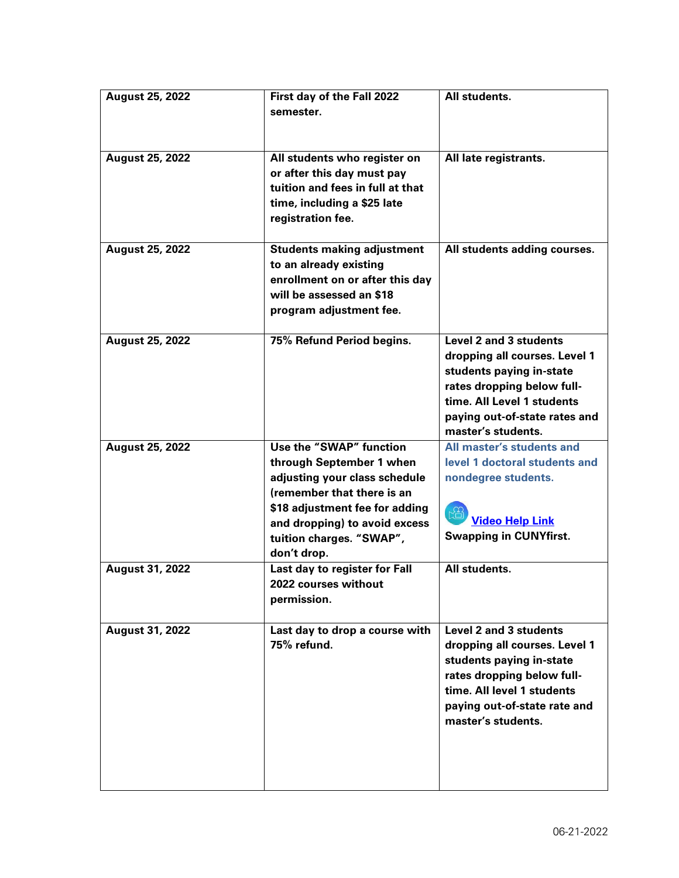| <b>August 25, 2022</b> | First day of the Fall 2022<br>semester.                                                                                                                                                                                          | All students.                                                                                                                                                                                          |
|------------------------|----------------------------------------------------------------------------------------------------------------------------------------------------------------------------------------------------------------------------------|--------------------------------------------------------------------------------------------------------------------------------------------------------------------------------------------------------|
| <b>August 25, 2022</b> | All students who register on<br>or after this day must pay<br>tuition and fees in full at that<br>time, including a \$25 late<br>registration fee.                                                                               | All late registrants.                                                                                                                                                                                  |
| <b>August 25, 2022</b> | <b>Students making adjustment</b><br>to an already existing<br>enrollment on or after this day<br>will be assessed an \$18<br>program adjustment fee.                                                                            | All students adding courses.                                                                                                                                                                           |
| <b>August 25, 2022</b> | 75% Refund Period begins.                                                                                                                                                                                                        | Level 2 and 3 students<br>dropping all courses. Level 1<br>students paying in-state<br>rates dropping below full-<br>time. All Level 1 students<br>paying out-of-state rates and<br>master's students. |
| <b>August 25, 2022</b> | Use the "SWAP" function<br>through September 1 when<br>adjusting your class schedule<br>(remember that there is an<br>\$18 adjustment fee for adding<br>and dropping) to avoid excess<br>tuition charges. "SWAP",<br>don't drop. | All master's students and<br>level 1 doctoral students and<br>nondegree students.<br><b>Video Help Link</b><br><b>Swapping in CUNYfirst.</b>                                                           |
| <b>August 31, 2022</b> | Last day to register for Fall<br>2022 courses without<br>permission.                                                                                                                                                             | All students.                                                                                                                                                                                          |
| August 31, 2022        | Last day to drop a course with<br>75% refund.                                                                                                                                                                                    | Level 2 and 3 students<br>dropping all courses. Level 1<br>students paying in-state<br>rates dropping below full-<br>time. All level 1 students<br>paying out-of-state rate and<br>master's students.  |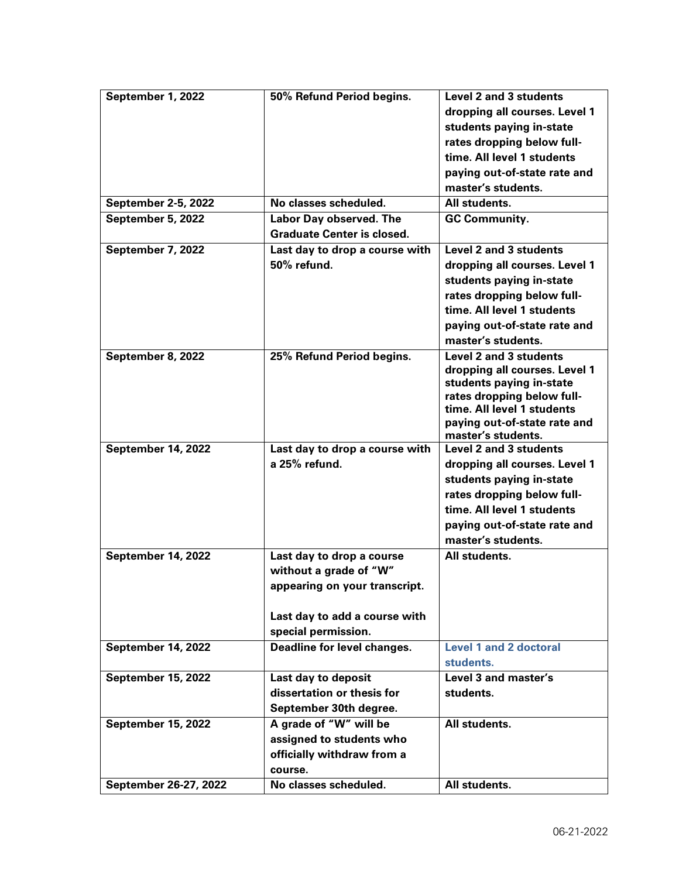| September 1, 2022          | 50% Refund Period begins.         | <b>Level 2 and 3 students</b> |
|----------------------------|-----------------------------------|-------------------------------|
|                            |                                   | dropping all courses. Level 1 |
|                            |                                   | students paying in-state      |
|                            |                                   | rates dropping below full-    |
|                            |                                   | time. All level 1 students    |
|                            |                                   | paying out-of-state rate and  |
|                            |                                   | master's students.            |
| <b>September 2-5, 2022</b> | No classes scheduled.             | All students.                 |
| September 5, 2022          | Labor Day observed. The           | <b>GC Community.</b>          |
|                            | <b>Graduate Center is closed.</b> |                               |
| September 7, 2022          | Last day to drop a course with    | Level 2 and 3 students        |
|                            | 50% refund.                       | dropping all courses. Level 1 |
|                            |                                   | students paying in-state      |
|                            |                                   | rates dropping below full-    |
|                            |                                   | time. All level 1 students    |
|                            |                                   | paying out-of-state rate and  |
|                            |                                   | master's students.            |
| September 8, 2022          | 25% Refund Period begins.         | Level 2 and 3 students        |
|                            |                                   | dropping all courses. Level 1 |
|                            |                                   | students paying in-state      |
|                            |                                   | rates dropping below full-    |
|                            |                                   | time. All level 1 students    |
|                            |                                   | paying out-of-state rate and  |
|                            |                                   | master's students.            |
| September 14, 2022         | Last day to drop a course with    | <b>Level 2 and 3 students</b> |
|                            | a 25% refund.                     | dropping all courses. Level 1 |
|                            |                                   | students paying in-state      |
|                            |                                   | rates dropping below full-    |
|                            |                                   | time. All level 1 students    |
|                            |                                   | paying out-of-state rate and  |
|                            |                                   | master's students.            |
| September 14, 2022         | Last day to drop a course         | All students.                 |
|                            | without a grade of "W"            |                               |
|                            | appearing on your transcript.     |                               |
|                            |                                   |                               |
|                            | Last day to add a course with     |                               |
|                            | special permission.               |                               |
| <b>September 14, 2022</b>  | Deadline for level changes.       | <b>Level 1 and 2 doctoral</b> |
|                            |                                   | students.                     |
| <b>September 15, 2022</b>  | Last day to deposit               | Level 3 and master's          |
|                            | dissertation or thesis for        | students.                     |
|                            | September 30th degree.            |                               |
| <b>September 15, 2022</b>  | A grade of "W" will be            | All students.                 |
|                            | assigned to students who          |                               |
|                            | officially withdraw from a        |                               |
|                            | course.                           |                               |
| September 26-27, 2022      | No classes scheduled.             | All students.                 |